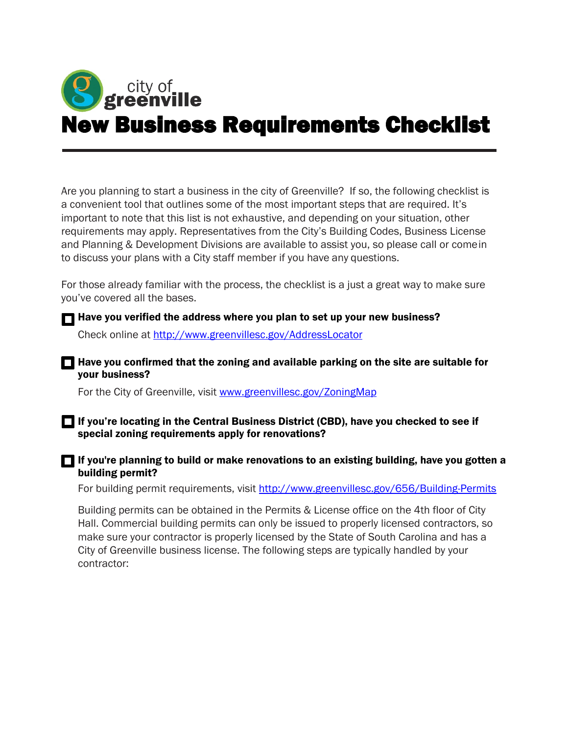

Are you planning to start a business in the city of Greenville? If so, the following checklist is a convenient tool that outlines some of the most important steps that are required. It's important to note that this list is not exhaustive, and depending on your situation, other requirements may apply. Representatives from the City's Building Codes, Business License and Planning & Development Divisions are available to assist you, so please call or come in to discuss your plans with a City staff member if you have any questions.

For those already familiar with the process, the checklist is a just a great way to make sure you've covered all the bases.

Have you verified the address where you plan to set up your new business?

Check online at<http://www.greenvillesc.gov/AddressLocator>

 $\Box$  Have you confirmed that the zoning and available parking on the site are suitable for your business?

For the City of Greenville, visit www.greenvillesc.gov/ZoningMap

If you're locating in the Central Business District (CBD), have you checked to see if special zoning requirements apply for renovations?

 $\blacksquare$  If you're planning to build or make renovations to an existing building, have you gotten a building permit?

For building permit requirements, visit<http://www.greenvillesc.gov/656/Building-Permits>

Building permits can be obtained in the Permits & License office on the 4th floor of City Hall. Commercial building permits can only be issued to properly licensed contractors, so make sure your contractor is properly licensed by the State of South Carolina and has a City of Greenville business license. The following steps are typically handled by your contractor: